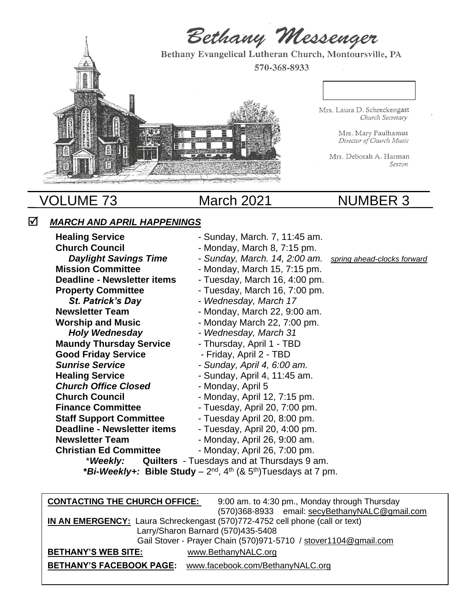

# VOLUME 73 March 2021 MUMBER 3

# *MARCH AND APRIL HAPPENINGS*

Healing Service **Fig. 2018** - Sunday, March. 7, 11:45 am. **Church Council Church Council - Monday, March 8, 7:15 pm.** *Daylight Savings Time* - *Sunday, March. 14, 2:00 am. spring ahead-clocks forward* **Mission Committee**  Figure 1 - Monday, March 15, 7:15 pm. **Deadline - Newsletter items** - Tuesday, March 16, 4:00 pm. **Property Committee** Tuesday, March 16, 7:00 pm. *St. Patrick's Day* - *Wednesday, March 17* **Newsletter Team** - Monday, March 22, 9:00 am. **Worship and Music Fig. 20. 13. Example 32, 7:00 pm.**  *Holy Wednesday - Wednesday, March 31*  **Maundy Thursday Service Farm** - Thursday, April 1 - TBD **Good Friday Service** - Friday, April 2 - TBD *Sunrise Service - Sunday, April 4, 6:00 am.* **Healing Service Conserverse Exercise According Service** And The Sunday, April 4, 11:45 am. **Church Office Closed** - Monday, April 5 **Church Council Church Council - Monday, April 12, 7:15 pm. Finance Committee** - Tuesday, April 20, 7:00 pm. **Staff Support Committee** - Tuesday April 20, 8:00 pm. **Deadline - Newsletter items** - Tuesday, April 20, 4:00 pm. **Newsletter Team** - Monday, April 26, 9:00 am. **Christian Ed Committee** - Monday, April 26, 7:00 pm. \**Weekly:* **Quilters** - Tuesdays and at Thursdays 9 am.

**\****Bi-Weekly+:* **Bible Study** – 2 nd, 4th (& 5th)Tuesdays at 7 pm.

| <b>CONTACTING THE CHURCH OFFICE:</b>                                         | 9:00 am. to 4:30 pm., Monday through Thursday                   |  |
|------------------------------------------------------------------------------|-----------------------------------------------------------------|--|
|                                                                              | (570)368-8933 email: secyBethanyNALC@gmail.com                  |  |
| IN AN EMERGENCY: Laura Schreckengast (570)772-4752 cell phone (call or text) |                                                                 |  |
|                                                                              | Larry/Sharon Barnard (570)435-5408                              |  |
|                                                                              | Gail Stover - Prayer Chain (570)971-5710 / stover1104@gmail.com |  |
| <b>BETHANY'S WEB SITE:</b>                                                   | www.BethanyNALC.org                                             |  |
| <b>BETHANY'S FACEBOOK PAGE:</b>                                              | www.facebook.com/BethanyNALC.org                                |  |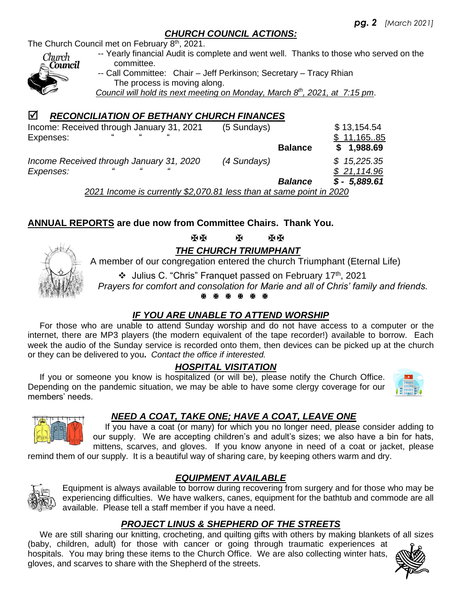### *CHURCH COUNCIL ACTIONS:*

The Church Council met on February 8<sup>th</sup>, 2021.



 -- Yearly financial Audit is complete and went well. Thanks to those who served on the committee. -- Call Committee: Chair – Jeff Perkinson; Secretary – Tracy Rhian The process is moving along.

 *Council will hold its next meeting on Monday, March 8 th , 2021, at 7:15 pm*.

# *RECONCILIATION OF BETHANY CHURCH FINANCES*

| Income: Received through January 31, 2021<br>$\epsilon$<br>$\epsilon$<br>"<br>Expenses: | (5 Sundays)    | \$13,154.54<br>\$11,16585 |
|-----------------------------------------------------------------------------------------|----------------|---------------------------|
|                                                                                         | <b>Balance</b> | \$1,988.69                |
| Income Received through January 31, 2020                                                | (4 Sundays)    | \$15,225.35               |
| Expenses:                                                                               |                | \$21,114.96               |
|                                                                                         | <b>Balance</b> | $$ - 5,889.61$            |

 *2021 Income is currently \$2,070.81 less than at same point in 2020*

# **ANNUAL REPORTS are due now from Committee Chairs. Thank You.**



  *THE CHURCH TRIUMPHANT*

A member of our congregation entered the church Triumphant (Eternal Life)

❖ Julius C. "Chris" Franquet passed on February 17 th, 2021

 *Prayers for comfort and consolation for Marie and all of Chris' family and friends.*

### *IF YOU ARE UNABLE TO ATTEND WORSHIP*

 For those who are unable to attend Sunday worship and do not have access to a computer or the internet, there are MP3 players (the modern equivalent of the tape recorder!) available to borrow. Each week the audio of the Sunday service is recorded onto them, then devices can be picked up at the church or they can be delivered to you**.** *Contact the office if interested.*

### *HOSPITAL VISITATION*

 If you or someone you know is hospitalized (or will be), please notify the Church Office. Depending on the pandemic situation, we may be able to have some clergy coverage for our members' needs.



# *NEED A COAT, TAKE ONE; HAVE A COAT, LEAVE ONE*

 If you have a coat (or many) for which you no longer need, please consider adding to our supply. We are accepting children's and adult's sizes; we also have a bin for hats, mittens, scarves, and gloves. If you know anyone in need of a coat or jacket, please

remind them of our supply. It is a beautiful way of sharing care, by keeping others warm and dry.



Equipment is always available to borrow during recovering from surgery and for those who may be experiencing difficulties. We have walkers, canes, equipment for the bathtub and commode are all available. Please tell a staff member if you have a need.

# *PROJECT LINUS & SHEPHERD OF THE STREETS*

*EQUIPMENT AVAILABLE*

We are still sharing our knitting, crocheting, and quilting gifts with others by making blankets of all sizes (baby, children, adult) for those with cancer or going through traumatic experiences at hospitals. You may bring these items to the Church Office. We are also collecting winter hats, gloves, and scarves to share with the Shepherd of the streets.

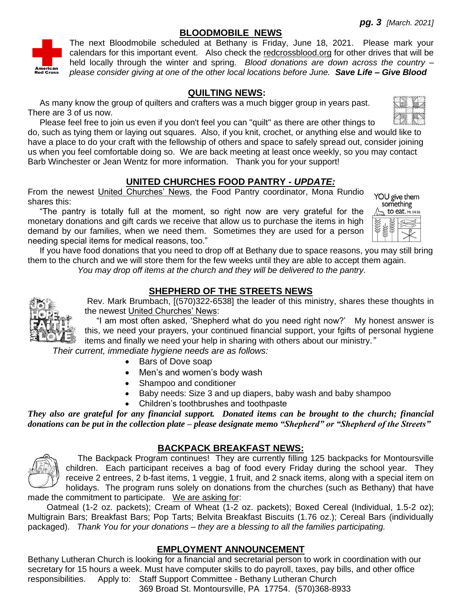#### **BLOODMOBILE NEWS**



The next Bloodmobile scheduled at Bethany is Friday, June 18, 2021. Please mark your calendars for this important event. Also check the redcrossblood.org for other drives that will be held locally through the winter and spring. *Blood donations are down across the country – please consider giving at one of the other local locations before June. Save Life – Give Blood*

#### **QUILTING NEWS:**

 As many know the group of quilters and crafters was a much bigger group in years past. There are 3 of us now.

 Please feel free to join us even if you don't feel you can "quilt" as there are other things to do, such as tying them or laying out squares. Also, if you knit, crochet, or anything else and would like to have a place to do your craft with the fellowship of others and space to safely spread out, consider joining us when you feel comfortable doing so. We are back meeting at least once weekly, so you may contact Barb Winchester or Jean Wentz for more information. Thank you for your support!

#### **UNITED CHURCHES FOOD PANTRY -** *UPDATE:*

From the newest United Churches' News, the Food Pantry coordinator, Mona Rundio shares this:

 "The pantry is totally full at the moment, so right now are very grateful for the monetary donations and gift cards we receive that allow us to purchase the items in high demand by our families, when we need them. Sometimes they are used for a person needing special items for medical reasons, too."

YOU give them something to eat. Mt 14:16

 If you have food donations that you need to drop off at Bethany due to space reasons, you may still bring them to the church and we will store them for the few weeks until they are able to accept them again.

*You may drop off items at the church and they will be delivered to the pantry.*

#### **SHEPHERD OF THE STREETS NEWS**



Rev. Mark Brumbach, [(570)322-6538] the leader of this ministry, shares these thoughts in the newest United Churches' News:

 "I am most often asked, 'Shepherd what do you need right now?' My honest answer is this, we need your prayers, your continued financial support, your fgifts of personal hygiene items and finally we need your help in sharing with others about our ministry*."* 

 *Their current, immediate hygiene needs are as follows:* 

- Bars of Dove soap
- Men's and women's body wash
- Shampoo and conditioner
- Baby needs: Size 3 and up diapers, baby wash and baby shampoo
- Children's toothbrushes and toothpaste

*They also are grateful for any financial support. Donated items can be brought to the church; financial donations can be put in the collection plate – please designate memo "Shepherd" or "Shepherd of the Streets"* 



#### **BACKPACK BREAKFAST NEWS:**

 The Backpack Program continues! They are currently filling 125 backpacks for Montoursville children. Each participant receives a bag of food every Friday during the school year. They receive 2 entrees, 2 b-fast items, 1 veggie, 1 fruit, and 2 snack items, along with a special item on holidays. The program runs solely on donations from the churches (such as Bethany) that have made the commitment to participate. We are asking for:

 Oatmeal (1-2 oz. packets); Cream of Wheat (1-2 oz. packets); Boxed Cereal (Individual, 1.5-2 oz); Multigrain Bars; Breakfast Bars; Pop Tarts; Belvita Breakfast Biscuits (1.76 oz.); Cereal Bars (individually packaged). *Thank You for your donations – they are a blessing to all the families participating.*

#### **EMPLOYMENT ANNOUNCEMENT**

Bethany Lutheran Church is looking for a financial and secretarial person to work in coordination with our secretary for 15 hours a week. Must have computer skills to do payroll, taxes, pay bills, and other office responsibilities. Apply to: Staff Support Committee - Bethany Lutheran Church

[369 Broad St. Montoursville, PA 17754.](https://www.google.com/maps/search/369+Broad+St+%C2%A0+%C2%A0+%C2%A0+%C2%A0+%C2%A0+%C2%A0+%C2%A0+%C2%A0+%C2%A0Montoursville,+PA.+%C2%A017754?entry=gmail&source=g) (570)368-8933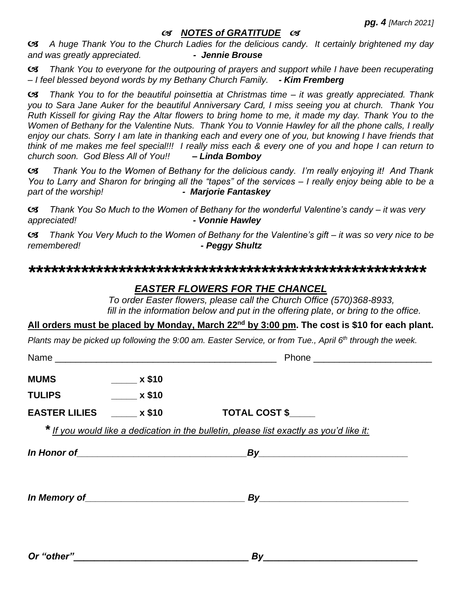#### *NOTES of GRATITUDE*

 *A huge Thank You to the Church Ladies for the delicious candy. It certainly brightened my day and was greatly appreciated. - Jennie Brouse*

 *Thank You to everyone for the outpouring of prayers and support while I have been recuperating – I feel blessed beyond words by my Bethany Church Family. - Kim Fremberg*

 *Thank You to for the beautiful poinsettia at Christmas time – it was greatly appreciated. Thank you to Sara Jane Auker for the beautiful Anniversary Card, I miss seeing you at church. Thank You Ruth Kissell for giving Ray the Altar flowers to bring home to me, it made my day. Thank You to the Women of Bethany for the Valentine Nuts. Thank You to Vonnie Hawley for all the phone calls, I really enjoy our chats. Sorry I am late in thanking each and every one of you, but knowing I have friends that think of me makes me feel special!!! I really miss each & every one of you and hope I can return to church soon. God Bless All of You!! – Linda Bomboy*

 *Thank You to the Women of Bethany for the delicious candy. I'm really enjoying it! And Thank You to Larry and Sharon for bringing all the "tapes" of the services – I really enjoy being able to be a part of the worship! - Marjorie Fantaskey*

 *Thank You So Much to the Women of Bethany for the wonderful Valentine's candy – it was very appreciated! - Vonnie Hawley*

 *Thank You Very Much to the Women of Bethany for the Valentine's gift – it was so very nice to be remembered! - Peggy Shultz*

#### *\*\*\*\*\*\*\*\*\*\*\*\*\*\*\*\*\*\*\*\*\*\*\*\*\*\*\*\*\*\*\*\*\*\*\*\*\*\*\*\*\*\*\*\*\*\*\*\*\*\*\*\*\**

#### *EASTER FLOWERS FOR THE CHANCEL*

 *To order Easter flowers, please call the Church Office (570)368-8933, fill in the information below and put in the offering plate, or bring to the office.*

#### **All orders must be placed by Monday, March 22nd by 3:00 pm. The cost is \$10 for each plant.**

*Plants may be picked up following the 9:00 am. Easter Service, or from Tue., April 6th through the week.* 

| <b>MUMS</b>   | $\sim$ x \$10                   |                                                                                         |  |
|---------------|---------------------------------|-----------------------------------------------------------------------------------------|--|
| <b>TULIPS</b> | $\overline{\phantom{0}}$ x \$10 |                                                                                         |  |
|               | EASTER LILIES x \$10            | TOTAL COST \$                                                                           |  |
|               |                                 | * If you would like a dedication in the bulletin, please list exactly as you'd like it: |  |
|               |                                 | In Honor of $\qquad \qquad \qquad By$                                                   |  |
|               |                                 |                                                                                         |  |
| Or "other"    |                                 | By                                                                                      |  |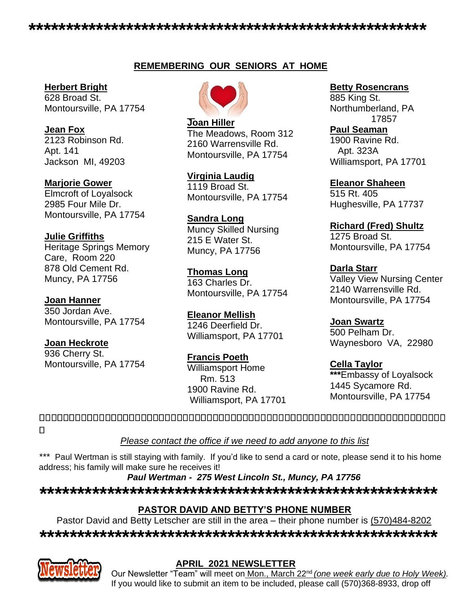## **REMEMBERING OUR SENIORS AT HOME**

#### **Herbert Bright**

628 Broad St. Montoursville, PA 17754

**Jean Fox**  2123 Robinson Rd. Apt. 141 Jackson MI, 49203

**Marjorie Gower** Elmcroft of Loyalsock 2985 Four Mile Dr. Montoursville, PA 17754

### **Julie Griffiths**

Heritage Springs Memory Care, Room 220 878 Old Cement Rd. Muncy, PA 17756

**Joan Hanner**

350 Jordan Ave. Montoursville, PA 17754

### **Joan Heckrote**

936 Cherry St. Montoursville, PA 17754

**Joan Hiller** The Meadows, Room 312 2160 Warrensville Rd. Montoursville, PA 17754

**Virginia Laudig**  1119 Broad St. Montoursville, PA 17754

**Sandra Long**  Muncy Skilled Nursing 215 E Water St. Muncy, PA 17756

**Thomas Long** 163 Charles Dr. Montoursville, PA 17754

**Eleanor Mellish** 1246 Deerfield Dr. Williamsport, PA 17701

**Francis Poeth** Williamsport Home Rm. 513 1900 Ravine Rd. Williamsport, PA 17701

### **Betty Rosencrans**

885 King St. Northumberland, PA 17857

**Paul Seaman** 1900 Ravine Rd.

 Apt. 323A Williamsport, PA 17701

**Eleanor Shaheen** 515 Rt. 405 Hughesville, PA 17737

**Richard (Fred) Shultz** 1275 Broad St. Montoursville, PA 17754

**Darla Starr** Valley View Nursing Center 2140 Warrensville Rd. Montoursville, PA 17754

**Joan Swartz** 500 Pelham Dr. Waynesboro VA, 22980

**Cella Taylor \*\*\***Embassy of Loyalsock 1445 Sycamore Rd. Montoursville, PA 17754

 $\Box$ 

*Please contact the office if we need to add anyone to this list*

*\*\*\** Paul Wertman is still staying with family. If you'd like to send a card or note, please send it to his home address; his family will make sure he receives it!

*Paul Wertman - 275 West Lincoln St., Muncy, PA 17756*

*\*\*\*\*\*\*\*\*\*\*\*\*\*\*\*\*\*\*\*\*\*\*\*\*\*\*\*\*\*\*\*\*\*\*\*\*\*\*\*\*\*\*\*\*\*\*\*\*\*\*\*\*\**

# **PASTOR DAVID AND BETTY'S PHONE NUMBER**

Pastor David and Betty Letscher are still in the area – their phone number is  $(570)484-8202$ 

*\*\*\*\*\*\*\*\*\*\*\*\*\*\*\*\*\*\*\*\*\*\*\*\*\*\*\*\*\*\*\*\*\*\*\*\*\*\*\*\*\*\*\*\*\*\*\*\*\*\*\*\*\**



# **APRIL 2021 NEWSLETTER**

Our Newsletter "Team" will meet on Mon., March 22nd *(one week early due to Holy Week).*  If you would like to submit an item to be included, please call (570)368-8933, drop off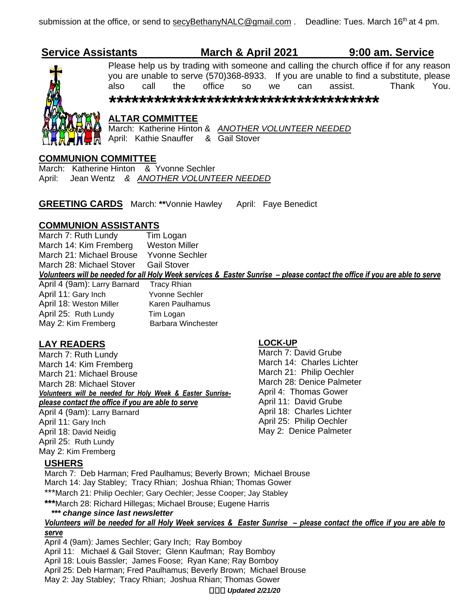# **Service Assistants March & April 2021 9:00 am. Service**



# Please help us by trading with someone and calling the church office if for any reason you are unable to serve (570)368-8933. If you are unable to find a substitute, please also call the office so we can assist. Thank You.

*\*\*\*\*\*\*\*\*\*\*\*\*\*\*\*\*\*\*\*\*\*\*\*\*\*\*\*\*\*\*\*\*\*\*\*\**

### **ALTAR COMMITTEE**

March: Katherine Hinton & *ANOTHER VOLUNTEER NEEDED* April: Kathie Snauffer & Gail Stover

#### **COMMUNION COMMITTEE**

March: Katherine Hinton & Yvonne Sechler April: Jean Wentz *& ANOTHER VOLUNTEER NEEDED*

**GREETING CARDS** March: **\*\***Vonnie Hawley April: Faye Benedict

**COMMUNION ASSISTANTS**<br>March 7: Ruth Lundy Tim Logan March 7: Ruth Lundy March 14: Kim Fremberg Weston Miller March 21: Michael Brouse Yvonne Sechler March 28: Michael Stover Gail Stover Volunteers will be needed for all Holy Week services & Easter Sunrise - please contact the office if you are able to serve

April 4 (9am): Larry Barnard Tracy Rhian April 11: Gary Inch Yvonne Sechler April 18: Weston Miller Karen Paulhamus April 25: Ruth Lundy Tim Logan May 2: Kim Fremberg Barbara Winchester

#### **LAY READERS**

March 7: Ruth Lundy March 14: Kim Fremberg March 21: Michael Brouse March 28: Michael Stover *Volunteers will be needed for Holy Week & Easter Sunriseplease contact the office if you are able to serve* April 4 (9am): Larry Barnard April 11: Gary Inch April 18: David Neidig

#### **LOCK-UP**

March 7: David Grube March 14: Charles Lichter March 21: Philip Oechler March 28: Denice Palmeter April 4: Thomas Gower April 11: David Grube April 18: Charles Lichter April 25: Philip Oechler May 2: Denice Palmeter

### **USHERS**

April 25: Ruth Lundy May 2: Kim Fremberg

March 7: Deb Harman; Fred Paulhamus; Beverly Brown; Michael Brouse March 14: Jay Stabley; Tracy Rhian; Joshua Rhian; Thomas Gower \*\*\*March 21: Philip Oechler; Gary Oechler; Jesse Cooper; Jay Stabley

**\*\*\***March 28: Richard Hillegas; Michael Brouse; Eugene Harris

#### *\*\*\* change since last newsletter*

#### *Volunteers will be needed for all Holy Week services & Easter Sunrise – please contact the office if you are able to serve*

April 4 (9am): James Sechler; Gary Inch; Ray Bomboy April 11: Michael & Gail Stover; Glenn Kaufman; Ray Bomboy April 18: Louis Bassler; James Foose; Ryan Kane; Ray Bomboy April 25: Deb Harman; Fred Paulhamus; Beverly Brown; Michael Brouse May 2: Jay Stabley; Tracy Rhian; Joshua Rhian; Thomas Gower

*Updated 2/21/20*